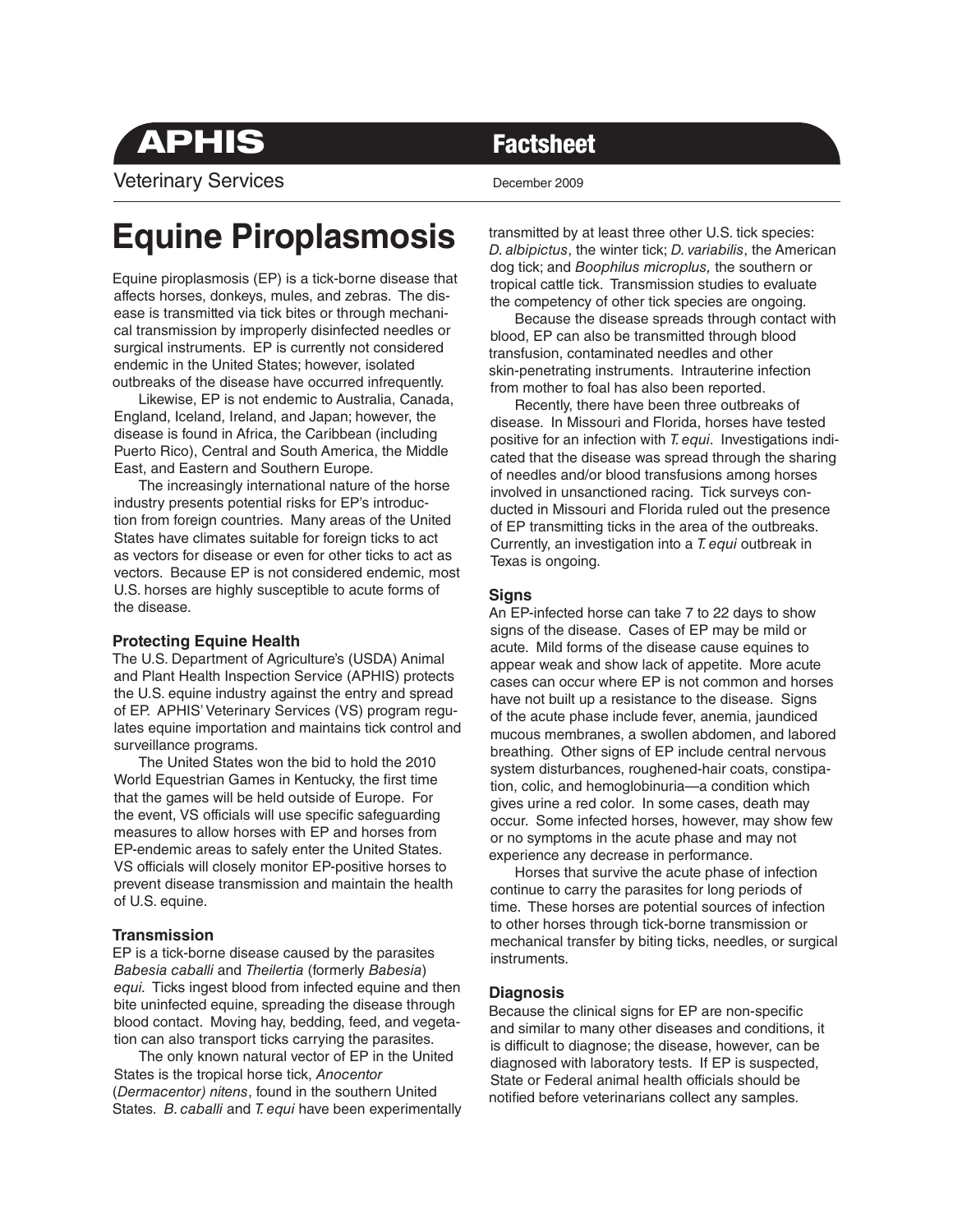**APHIS** Factsheet

Veterinary Services **December 2009** 

# **Equine Piroplasmosis**

Equine piroplasmosis (EP) is a tick-borne disease that affects horses, donkeys, mules, and zebras. The disease is transmitted via tick bites or through mechanical transmission by improperly disinfected needles or surgical instruments. EP is currently not considered endemic in the United States; however, isolated outbreaks of the disease have occurred infrequently.

 Likewise, EP is not endemic to Australia, Canada, England, Iceland, Ireland, and Japan; however, the disease is found in Africa, the Caribbean (including Puerto Rico), Central and South America, the Middle East, and Eastern and Southern Europe.

 The increasingly international nature of the horse industry presents potential risks for EP's introduction from foreign countries. Many areas of the United States have climates suitable for foreign ticks to act as vectors for disease or even for other ticks to act as vectors. Because EP is not considered endemic, most U.S. horses are highly susceptible to acute forms of the disease.

## **Protecting Equine Health**

The U.S. Department of Agriculture's (USDA) Animal and Plant Health Inspection Service (APHIS) protects the U.S. equine industry against the entry and spread of EP. APHIS' Veterinary Services (VS) program regulates equine importation and maintains tick control and surveillance programs.

 The United States won the bid to hold the 2010 World Equestrian Games in Kentucky, the first time that the games will be held outside of Europe. For the event, VS officials will use specific safeguarding measures to allow horses with EP and horses from EP-endemic areas to safely enter the United States. VS officials will closely monitor EP-positive horses to prevent disease transmission and maintain the health of U.S. equine.

# **Transmission**

EP is a tick-borne disease caused by the parasites *Babesia caballi* and *Theilertia* (formerly *Babesia*) *equi.* Ticks ingest blood from infected equine and then bite uninfected equine, spreading the disease through blood contact. Moving hay, bedding, feed, and vegetation can also transport ticks carrying the parasites.

 The only known natural vector of EP in the United States is the tropical horse tick, *Anocentor* (*Dermacentor) nitens*, found in the southern United States. *B. caballi* and *T. equi* have been experimentally transmitted by at least three other U.S. tick species: *D. albipictus*, the winter tick; *D. variabilis*, the American dog tick; and *Boophilus microplus,* the southern or tropical cattle tick. Transmission studies to evaluate the competency of other tick species are ongoing.

 Because the disease spreads through contact with blood, EP can also be transmitted through blood transfusion, contaminated needles and other skin-penetrating instruments. Intrauterine infection from mother to foal has also been reported.

 Recently, there have been three outbreaks of disease. In Missouri and Florida, horses have tested positive for an infection with *T. equi*. Investigations indicated that the disease was spread through the sharing of needles and/or blood transfusions among horses involved in unsanctioned racing. Tick surveys conducted in Missouri and Florida ruled out the presence of EP transmitting ticks in the area of the outbreaks. Currently, an investigation into a *T. equi* outbreak in Texas is ongoing.

## **Signs**

An EP-infected horse can take 7 to 22 days to show signs of the disease. Cases of EP may be mild or acute. Mild forms of the disease cause equines to appear weak and show lack of appetite. More acute cases can occur where EP is not common and horses have not built up a resistance to the disease. Signs of the acute phase include fever, anemia, jaundiced mucous membranes, a swollen abdomen, and labored breathing. Other signs of EP include central nervous system disturbances, roughened-hair coats, constipation, colic, and hemoglobinuria—a condition which gives urine a red color. In some cases, death may occur. Some infected horses, however, may show few or no symptoms in the acute phase and may not experience any decrease in performance.

 Horses that survive the acute phase of infection continue to carry the parasites for long periods of time. These horses are potential sources of infection to other horses through tick-borne transmission or mechanical transfer by biting ticks, needles, or surgical instruments.

# **Diagnosis**

Because the clinical signs for EP are non-specific and similar to many other diseases and conditions, it is difficult to diagnose; the disease, however, can be diagnosed with laboratory tests. If EP is suspected, State or Federal animal health officials should be notified before veterinarians collect any samples.